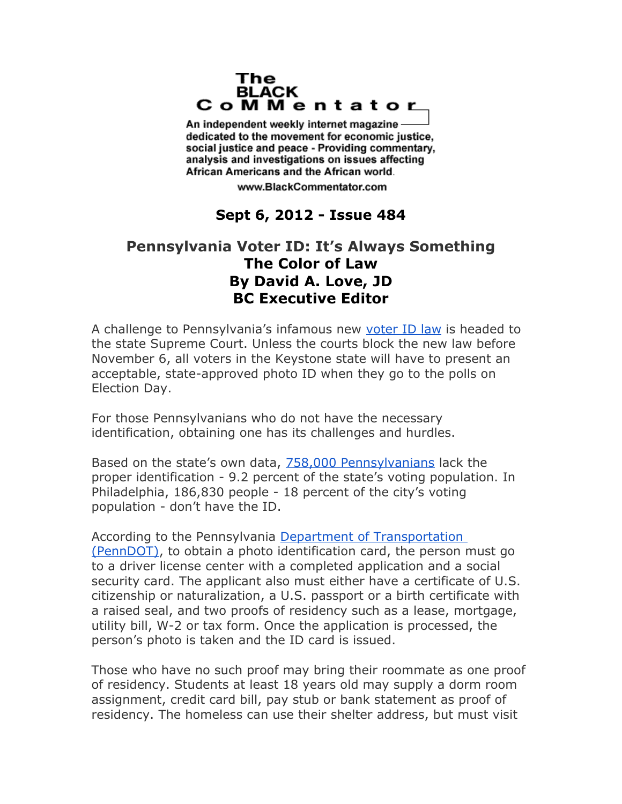## The **BLACK** CoMMentator

An independent weekly internet magazine dedicated to the movement for economic justice. social justice and peace - Providing commentary, analysis and investigations on issues affecting African Americans and the African world.

www.BlackCommentator.com

## **Sept 6, 2012 - Issue 484**

## **Pennsylvania Voter ID: It's Always Something The Color of Law By David A. Love, JD BC Executive Editor**

A challenge to Pennsylvania's infamous new [voter ID law](http://www.legis.state.pa.us/WU01/LI/LI/US/HTM/2012/0/0018..HTM) is headed to the state Supreme Court. Unless the courts block the new law before November 6, all voters in the Keystone state will have to present an acceptable, state-approved photo ID when they go to the polls on Election Day.

For those Pennsylvanians who do not have the necessary identification, obtaining one has its challenges and hurdles.

Based on the state's own data, [758,000 Pennsylvanians](http://www.huffingtonpost.com/2012/07/05/pennsylvania-voter-id-law_n_1652469.html) lack the proper identification - 9.2 percent of the state's voting population. In Philadelphia, 186,830 people - 18 percent of the city's voting population - don't have the ID.

According to the Pennsylvania Department of Transportation [\(PennDOT\),](http://www.dmv.state.pa.us/voter/voteridlaw.shtml) to obtain a photo identification card, the person must go to a driver license center with a completed application and a social security card. The applicant also must either have a certificate of U.S. citizenship or naturalization, a U.S. passport or a birth certificate with a raised seal, and two proofs of residency such as a lease, mortgage, utility bill, W-2 or tax form. Once the application is processed, the person's photo is taken and the ID card is issued.

Those who have no such proof may bring their roommate as one proof of residency. Students at least 18 years old may supply a dorm room assignment, credit card bill, pay stub or bank statement as proof of residency. The homeless can use their shelter address, but must visit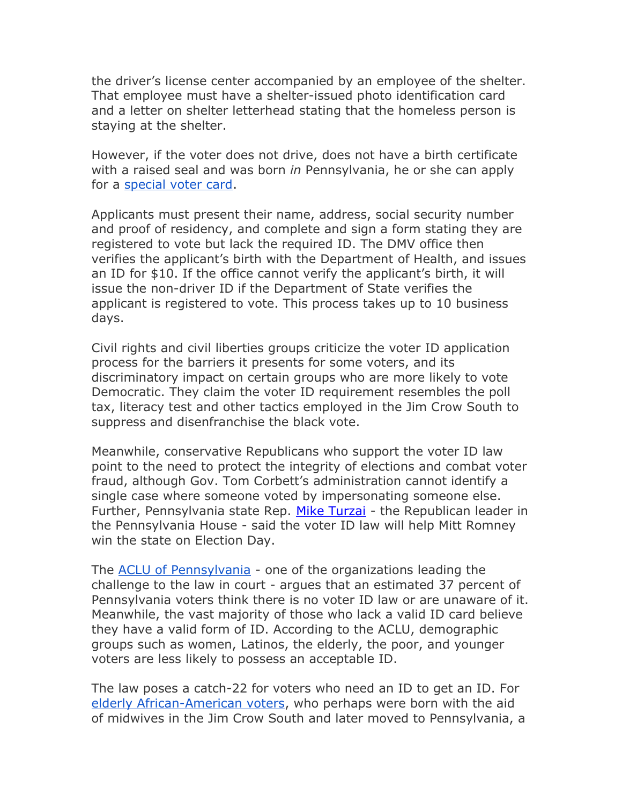the driver's license center accompanied by an employee of the shelter. That employee must have a shelter-issued photo identification card and a letter on shelter letterhead stating that the homeless person is staying at the shelter.

However, if the voter does not drive, does not have a birth certificate with a raised seal and was born *in* Pennsylvania, he or she can apply for a [special voter card.](http://readingeagle.com/article.aspx?id=411647)

Applicants must present their name, address, social security number and proof of residency, and complete and sign a form stating they are registered to vote but lack the required ID. The DMV office then verifies the applicant's birth with the Department of Health, and issues an ID for \$10. If the office cannot verify the applicant's birth, it will issue the non-driver ID if the Department of State verifies the applicant is registered to vote. This process takes up to 10 business days.

Civil rights and civil liberties groups criticize the voter ID application process for the barriers it presents for some voters, and its discriminatory impact on certain groups who are more likely to vote Democratic. They claim the voter ID requirement resembles the poll tax, literacy test and other tactics employed in the Jim Crow South to suppress and disenfranchise the black vote.

Meanwhile, conservative Republicans who support the voter ID law point to the need to protect the integrity of elections and combat voter fraud, although Gov. Tom Corbett's administration cannot identify a single case where someone voted by impersonating someone else. Further, Pennsylvania state Rep. [Mike Turzai](http://www.politico.com/news/stories/0612/77811.html) - the Republican leader in the Pennsylvania House - said the voter ID law will help Mitt Romney win the state on Election Day.

The [ACLU of Pennsylvania](http://www.aclupa.org/pressroom/pretrialbriefandexperttest.htm) - one of the organizations leading the challenge to the law in court - argues that an estimated 37 percent of Pennsylvania voters think there is no voter ID law or are unaware of it. Meanwhile, the vast majority of those who lack a valid ID card believe they have a valid form of ID. According to the ACLU, demographic groups such as women, Latinos, the elderly, the poor, and younger voters are less likely to possess an acceptable ID.

The law poses a catch-22 for voters who need an ID to get an ID. For [elderly African-American voters,](http://www.aclupa.org/pressroom/groupsfilelawsuitincommonw.htm) who perhaps were born with the aid of midwives in the Jim Crow South and later moved to Pennsylvania, a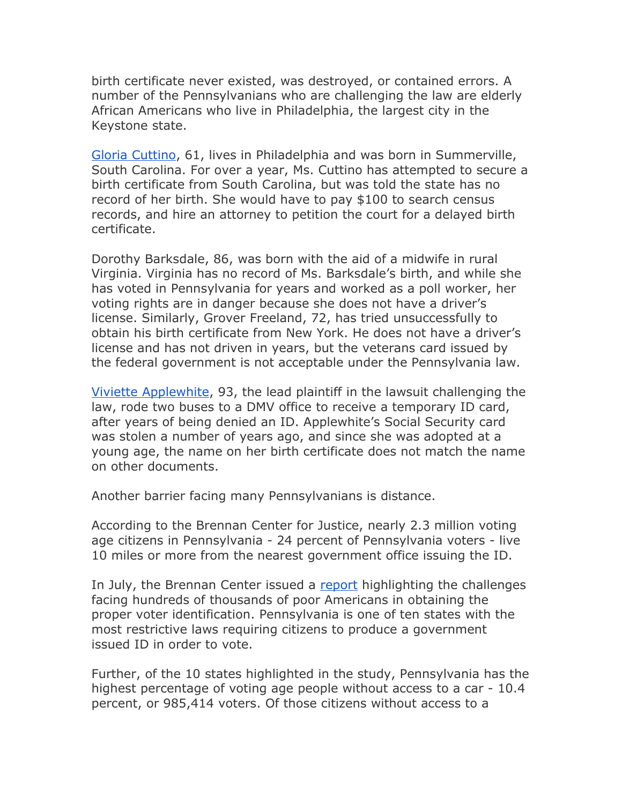birth certificate never existed, was destroyed, or contained errors. A number of the Pennsylvanians who are challenging the law are elderly African Americans who live in Philadelphia, the largest city in the Keystone state.

[Gloria Cuttino,](http://www.aclupa.org/legal/legaldocket/applewhiteetalvcommonwealt/voteridclients.htm) 61, lives in Philadelphia and was born in Summerville, South Carolina. For over a year, Ms. Cuttino has attempted to secure a birth certificate from South Carolina, but was told the state has no record of her birth. She would have to pay \$100 to search census records, and hire an attorney to petition the court for a delayed birth certificate.

Dorothy Barksdale, 86, was born with the aid of a midwife in rural Virginia. Virginia has no record of Ms. Barksdale's birth, and while she has voted in Pennsylvania for years and worked as a poll worker, her voting rights are in danger because she does not have a driver's license. Similarly, Grover Freeland, 72, has tried unsuccessfully to obtain his birth certificate from New York. He does not have a driver's license and has not driven in years, but the veterans card issued by the federal government is not acceptable under the Pennsylvania law.

[Viviette Applewhite,](http://thegrio.com/2012/08/17/viviette-applewhite-93-year-old-plaintiff-in-pa-voter-id-case-gets-card-amid-appeal/) 93, the lead plaintiff in the lawsuit challenging the law, rode two buses to a DMV office to receive a temporary ID card, after years of being denied an ID. Applewhite's Social Security card was stolen a number of years ago, and since she was adopted at a young age, the name on her birth certificate does not match the name on other documents.

Another barrier facing many Pennsylvanians is distance.

According to the Brennan Center for Justice, nearly 2.3 million voting age citizens in Pennsylvania - 24 percent of Pennsylvania voters - live 10 miles or more from the nearest government office issuing the ID.

In July, the Brennan Center issued a [report](http://www.brennancenter.org/page/-/Democracy/VRE/Challenge_of_Obtaining_Voter_ID.pdf) highlighting the challenges facing hundreds of thousands of poor Americans in obtaining the proper voter identification. Pennsylvania is one of ten states with the most restrictive laws requiring citizens to produce a government issued ID in order to vote.

Further, of the 10 states highlighted in the study, Pennsylvania has the highest percentage of voting age people without access to a car - 10.4 percent, or 985,414 voters. Of those citizens without access to a